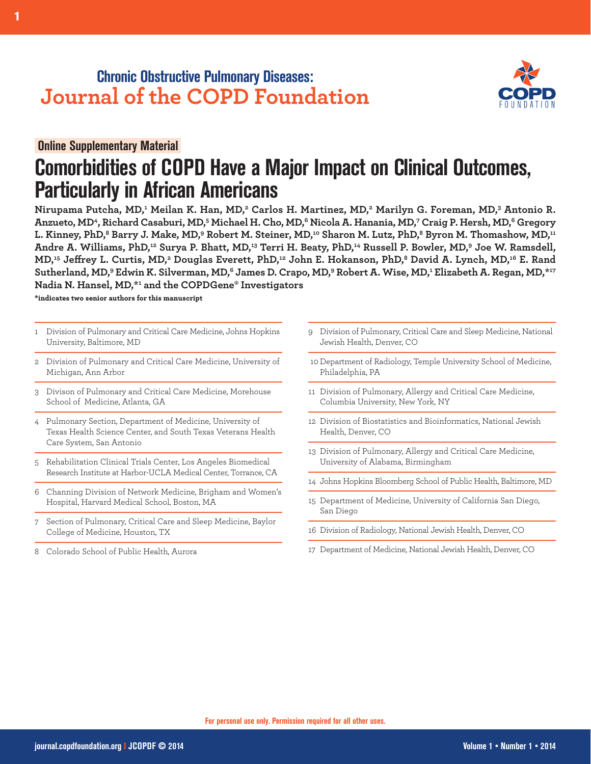## **Chronic Obstructive Pulmonary Diseases: Journal of the COPD Foundation**



# **Comorbidities of COPD Have a Major Impact on Clinical Outcomes, Particularly in African Americans**

Nirupama Putcha, MD,<del>'</del> Meilan K. Han, MD,<del>'</del> Carlos H. Martinez, MD,<del>'</del> Marilyn G. Foreman, MD,' Antonio R. Anzueto, MD<sup>4</sup>, Richard Casaburi, MD,<sup>5</sup> Michael H. Cho, MD,<sup>6</sup> Nicola A. Hanania, MD,<sup>7</sup> Craig P. Hersh, MD,<sup>6</sup> Gregory L. Kinney, PhD,<sup>8</sup> Barry J. Make, MD,<sup>9</sup> Robert M. Steiner, MD,<sup>10</sup> Sharon M. Lutz, PhD,<sup>8</sup> Byron M. Thomashow, MD,<sup>11</sup> Andre A. Williams, PhD,12 Surya P. Bhatt, MD,13 Terri H. Beaty, PhD,14 Russell P. Bowler, MD,9 Joe W. Ramsdell, MD,<sup>15</sup> Jeffrey L. Curtis, MD,<sup>2</sup> Douglas Everett, PhD,<sup>12</sup> John E. Hokanson, PhD,<sup>8</sup> David A. Lynch, MD,<sup>16</sup> E. Rand Sutherland, MD,<sup>9</sup> Edwin K. Silverman, MD,<sup>6</sup> James D. Crapo, MD,<sup>9</sup> Robert A. Wise, MD,<sup>1</sup> Elizabeth A. Regan, MD,\*<sup>17</sup> **Nadia N. Hansel, MD,\*1 and the COPDGene® Investigators**

**\*indicates two senior authors for this manuscript**

- 1 Division of Pulmonary and Critical Care Medicine, Johns Hopkins University, Baltimore, MD
- 2 Division of Pulmonary and Critical Care Medicine, University of Michigan, Ann Arbor
- 3 Divison of Pulmonary and Critical Care Medicine, Morehouse School of Medicine, Atlanta, GA
- 4 Pulmonary Section, Department of Medicine, University of Texas Health Science Center, and South Texas Veterans Health Care System, San Antonio
- 5 Rehabilitation Clinical Trials Center, Los Angeles Biomedical Research Institute at Harbor-UCLA Medical Center, Torrance, CA
- 6 Channing Division of Network Medicine, Brigham and Women's Hospital, Harvard Medical School, Boston, MA
- 7 Section of Pulmonary, Critical Care and Sleep Medicine, Baylor College of Medicine, Houston, TX
- 8 Colorado School of Public Health, Aurora
- 9 Division of Pulmonary, Critical Care and Sleep Medicine, National Jewish Health, Denver, CO
- 10 Department of Radiology, Temple University School of Medicine, Philadelphia, PA
- 11 Division of Pulmonary, Allergy and Critical Care Medicine, Columbia University, New York, NY
- 12 Division of Biostatistics and Bioinformatics, National Jewish Health, Denver, CO
- 13 Division of Pulmonary, Allergy and Critical Care Medicine, University of Alabama, Birmingham
- 14 Johns Hopkins Bloomberg School of Public Health, Baltimore, MD
- 15 Department of Medicine, University of California San Diego, San Diego
- 16 Division of Radiology, National Jewish Health, Denver, CO
- 17 Department of Medicine, National Jewish Health, Denver, CO

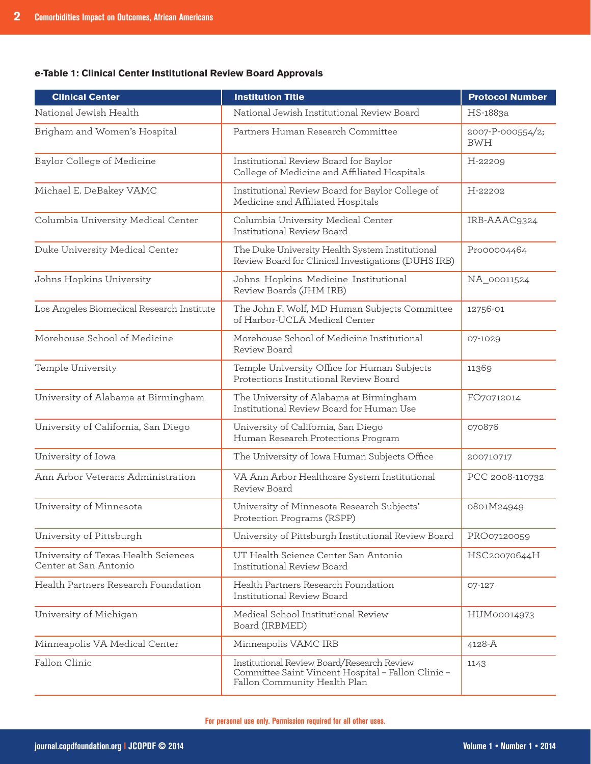### **e-Table 1: Clinical Center Institutional Review Board Approvals**

| <b>Clinical Center</b>                                       | <b>Institution Title</b>                                                                                                                 | <b>Protocol Number</b>         |
|--------------------------------------------------------------|------------------------------------------------------------------------------------------------------------------------------------------|--------------------------------|
| National Jewish Health                                       | National Jewish Institutional Review Board                                                                                               | HS-1883a                       |
| Brigham and Women's Hospital                                 | Partners Human Research Committee                                                                                                        | 2007-P-000554/2;<br><b>BWH</b> |
| Baylor College of Medicine                                   | Institutional Review Board for Baylor<br>College of Medicine and Affiliated Hospitals                                                    | H-22209                        |
| Michael E. DeBakey VAMC                                      | Institutional Review Board for Baylor College of<br>Medicine and Affiliated Hospitals                                                    | H-22202                        |
| Columbia University Medical Center                           | Columbia University Medical Center<br>Institutional Review Board                                                                         | IRB-AAAC9324                   |
| Duke University Medical Center                               | The Duke University Health System Institutional<br>Review Board for Clinical Investigations (DUHS IRB)                                   | Pro00004464                    |
| Johns Hopkins University                                     | Johns Hopkins Medicine Institutional<br>Review Boards (JHM IRB)                                                                          | NA_00011524                    |
| Los Angeles Biomedical Research Institute                    | The John F. Wolf, MD Human Subjects Committee<br>of Harbor-UCLA Medical Center                                                           | 12756-01                       |
| Morehouse School of Medicine                                 | Morehouse School of Medicine Institutional<br>Review Board                                                                               | 07-1029                        |
| Temple University                                            | Temple University Office for Human Subjects<br>Protections Institutional Review Board                                                    | 11369                          |
| University of Alabama at Birmingham                          | The University of Alabama at Birmingham<br>Institutional Review Board for Human Use                                                      | FO70712014                     |
| University of California, San Diego                          | University of California, San Diego<br>Human Research Protections Program                                                                | 070876                         |
| University of Iowa                                           | The University of Iowa Human Subjects Office                                                                                             | 200710717                      |
| Ann Arbor Veterans Administration                            | VA Ann Arbor Healthcare System Institutional<br>Review Board                                                                             | PCC 2008-110732                |
| University of Minnesota                                      | University of Minnesota Research Subjects'<br>Protection Programs (RSPP)                                                                 | 0801M24949                     |
| University of Pittsburgh                                     | University of Pittsburgh Institutional Review Board                                                                                      | PRO07120059                    |
| University of Texas Health Sciences<br>Center at San Antonio | UT Health Science Center San Antonio<br>Institutional Review Board                                                                       | HSC20070644H                   |
| Health Partners Research Foundation                          | Health Partners Research Foundation<br>Institutional Review Board                                                                        | 07-127                         |
| University of Michigan                                       | Medical School Institutional Review<br>Board (IRBMED)                                                                                    | HUM00014973                    |
| Minneapolis VA Medical Center                                | Minneapolis VAMC IRB                                                                                                                     | 4128-A                         |
| Fallon Clinic                                                | Institutional Review Board/Research Review<br>1143<br>Committee Saint Vincent Hospital - Fallon Clinic -<br>Fallon Community Health Plan |                                |